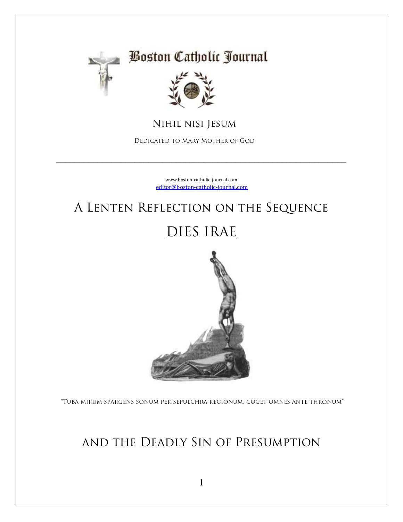

#### **Boston Catholic Journal**



NIHIL NISI JESUM

DEDICATED TO MARY MOTHER OF GOD

www.boston-catholic-journal.com editor@boston-catholic-journal.com

## A LENTEN REFLECTION ON THE SEQUENCE

## DIES IRAE



"TUBA MIRUM SPARGENS SONUM PER SEPULCHRA REGIONUM, COGET OMNES ANTE THRONUM"

#### AND THE DEADLY SIN OF PRESUMPTION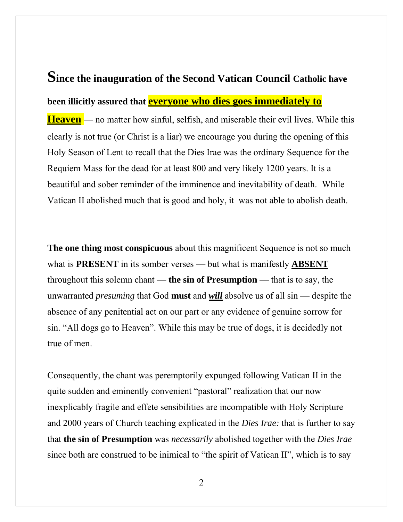# **Since the inauguration of the Second Vatican Council Catholic have been illicitly assured that everyone who dies goes immediately to**

**Heaven** — no matter how sinful, selfish, and miserable their evil lives. While this clearly is not true (or Christ is a liar) we encourage you during the opening of this Holy Season of Lent to recall that the Dies Irae was the ordinary Sequence for the Requiem Mass for the dead for at least 800 and very likely 1200 years. It is a beautiful and sober reminder of the imminence and inevitability of death. While Vatican II abolished much that is good and holy, it was not able to abolish death.

**The one thing most conspicuous** about this magnificent Sequence is not so much what is **PRESENT** in its somber verses — but what is manifestly **ABSENT** throughout this solemn chant — **the sin of Presumption** — that is to say, the unwarranted *presuming* that God **must** and *will* absolve us of all sin — despite the absence of any penitential act on our part or any evidence of genuine sorrow for sin. "All dogs go to Heaven". While this may be true of dogs, it is decidedly not true of men.

Consequently, the chant was peremptorily expunged following Vatican II in the quite sudden and eminently convenient "pastoral" realization that our now inexplicably fragile and effete sensibilities are incompatible with Holy Scripture and 2000 years of Church teaching explicated in the *Dies Irae:* that is further to say that **the sin of Presumption** was *necessarily* abolished together with the *Dies Irae* since both are construed to be inimical to "the spirit of Vatican II", which is to say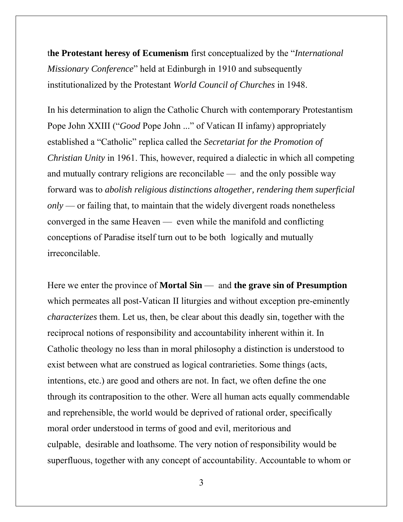t**he Protestant heresy of Ecumenism** first conceptualized by the "*International Missionary Conference*" held at Edinburgh in 1910 and subsequently institutionalized by the Protestant *World Council of Churches* in 1948.

In his determination to align the Catholic Church with contemporary Protestantism Pope John XXIII ("*Good* Pope John ..." of Vatican II infamy) appropriately established a "Catholic" replica called the *Secretariat for the Promotion of Christian Unity* in 1961. This, however, required a dialectic in which all competing and mutually contrary religions are reconcilable — and the only possible way forward was to *abolish religious distinctions altogether, rendering them superficial only* — or failing that, to maintain that the widely divergent roads nonetheless converged in the same Heaven — even while the manifold and conflicting conceptions of Paradise itself turn out to be both logically and mutually irreconcilable.

Here we enter the province of **Mortal Sin** — and **the grave sin of Presumption** which permeates all post-Vatican II liturgies and without exception pre-eminently *characterizes* them. Let us, then, be clear about this deadly sin, together with the reciprocal notions of responsibility and accountability inherent within it. In Catholic theology no less than in moral philosophy a distinction is understood to exist between what are construed as logical contrarieties. Some things (acts, intentions, etc.) are good and others are not. In fact, we often define the one through its contraposition to the other. Were all human acts equally commendable and reprehensible, the world would be deprived of rational order, specifically moral order understood in terms of good and evil, meritorious and culpable, desirable and loathsome. The very notion of responsibility would be superfluous, together with any concept of accountability. Accountable to whom or

3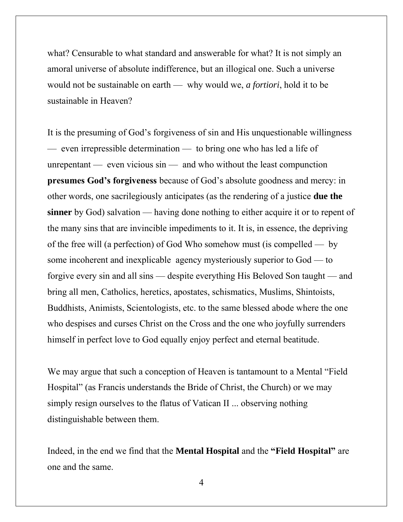what? Censurable to what standard and answerable for what? It is not simply an amoral universe of absolute indifference, but an illogical one. Such a universe would not be sustainable on earth — why would we, *a fortiori*, hold it to be sustainable in Heaven?

It is the presuming of God's forgiveness of sin and His unquestionable willingness — even irrepressible determination — to bring one who has led a life of unrepentant — even vicious sin — and who without the least compunction **presumes God's forgiveness** because of God's absolute goodness and mercy: in other words, one sacrilegiously anticipates (as the rendering of a justice **due the sinner** by God) salvation — having done nothing to either acquire it or to repent of the many sins that are invincible impediments to it. It is, in essence, the depriving of the free will (a perfection) of God Who somehow must (is compelled — by some incoherent and inexplicable agency mysteriously superior to God — to forgive every sin and all sins — despite everything His Beloved Son taught — and bring all men, Catholics, heretics, apostates, schismatics, Muslims, Shintoists, Buddhists, Animists, Scientologists, etc. to the same blessed abode where the one who despises and curses Christ on the Cross and the one who joyfully surrenders himself in perfect love to God equally enjoy perfect and eternal beatitude.

We may argue that such a conception of Heaven is tantamount to a Mental "Field Hospital" (as Francis understands the Bride of Christ, the Church) or we may simply resign ourselves to the flatus of Vatican II ... observing nothing distinguishable between them.

Indeed, in the end we find that the **Mental Hospital** and the **"Field Hospital"** are one and the same.

4